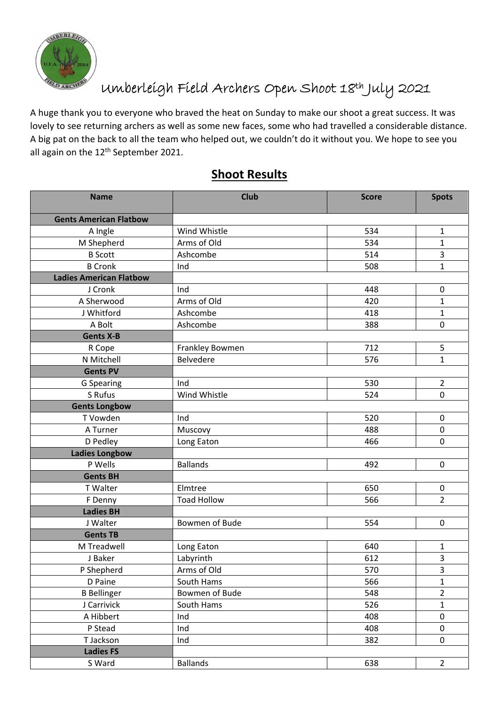

## Umberleigh Field Archers Open Shoot 18th July 2021

A huge thank you to everyone who braved the heat on Sunday to make our shoot a great success. It was lovely to see returning archers as well as some new faces, some who had travelled a considerable distance. A big pat on the back to all the team who helped out, we couldn't do it without you. We hope to see you all again on the 12<sup>th</sup> September 2021.

| <b>Name</b>                    | <b>Club</b>        | <b>Score</b> | <b>Spots</b>            |
|--------------------------------|--------------------|--------------|-------------------------|
| <b>Gents American Flatbow</b>  |                    |              |                         |
| A Ingle                        | Wind Whistle       | 534          | $\mathbf 1$             |
| M Shepherd                     | Arms of Old        | 534          | $\mathbf{1}$            |
| <b>B</b> Scott                 | Ashcombe           | 514          | 3                       |
| <b>B</b> Cronk                 | Ind                | 508          | $\mathbf{1}$            |
| <b>Ladies American Flatbow</b> |                    |              |                         |
| J Cronk                        | Ind                | 448          | 0                       |
| A Sherwood                     | Arms of Old        | 420          | $\mathbf{1}$            |
| J Whitford                     | Ashcombe           | 418          | $\mathbf{1}$            |
| A Bolt                         | Ashcombe           | 388          | $\mathbf 0$             |
| <b>Gents X-B</b>               |                    |              |                         |
| R Cope                         | Frankley Bowmen    | 712          | 5                       |
| N Mitchell                     | Belvedere          | 576          | $\mathbf{1}$            |
| <b>Gents PV</b>                |                    |              |                         |
| G Spearing                     | Ind                | 530          | $\overline{2}$          |
| S Rufus                        | Wind Whistle       | 524          | $\mathbf 0$             |
| <b>Gents Longbow</b>           |                    |              |                         |
| T Vowden                       | Ind                | 520          | $\pmb{0}$               |
| A Turner                       | Muscovy            | 488          | $\pmb{0}$               |
| D Pedley                       | Long Eaton         | 466          | $\mathbf 0$             |
| <b>Ladies Longbow</b>          |                    |              |                         |
| P Wells                        | <b>Ballands</b>    | 492          | $\overline{0}$          |
| <b>Gents BH</b>                |                    |              |                         |
| T Walter                       | Elmtree            | 650          | 0                       |
| F Denny                        | <b>Toad Hollow</b> | 566          | $\overline{2}$          |
| <b>Ladies BH</b>               |                    |              |                         |
| J Walter                       | Bowmen of Bude     | 554          | 0                       |
| <b>Gents TB</b>                |                    |              |                         |
| M Treadwell                    | Long Eaton         | 640          | $\mathbf{1}$            |
| J Baker                        | Labyrinth          | 612          | 3                       |
| P Shepherd                     | Arms of Old        | 570          | $\overline{\mathbf{3}}$ |
| D Paine                        | South Hams         | 566          | $\mathbf{1}$            |
| <b>B</b> Bellinger             | Bowmen of Bude     | 548          | $\overline{2}$          |
| J Carrivick                    | South Hams         | 526          | $\mathbf{1}$            |
| A Hibbert                      | Ind                | 408          | $\pmb{0}$               |
| P Stead                        | Ind                | 408          | $\pmb{0}$               |
| T Jackson                      | Ind                | 382          | 0                       |
| <b>Ladies FS</b>               |                    |              |                         |
| S Ward                         | <b>Ballands</b>    | 638          | $\overline{2}$          |

## **Shoot Results**